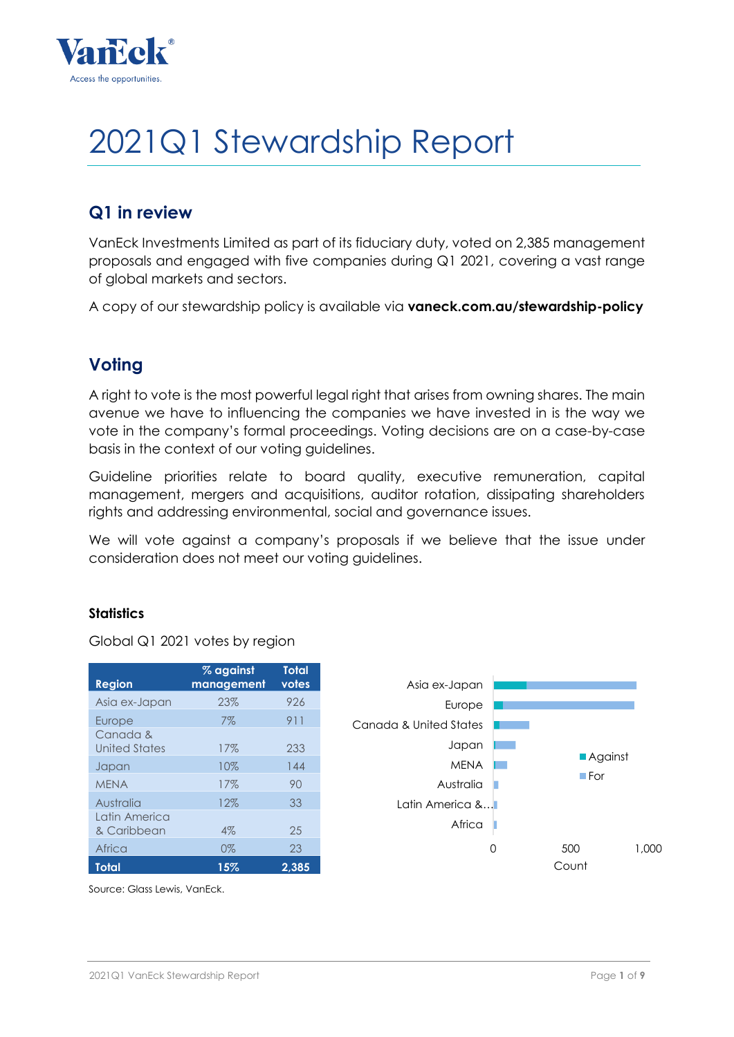

# 2021Q1 Stewardship Report

# **Q1 in review**

VanEck Investments Limited as part of its fiduciary duty, voted on 2,385 management proposals and engaged with five companies during Q1 2021, covering a vast range of global markets and sectors.

A copy of our stewardship policy is available via **vaneck.com.au/stewardship-policy**

# **Voting**

A right to vote is the most powerful legal right that arises from owning shares. The main avenue we have to influencing the companies we have invested in is the way we vote in the company's formal proceedings. Voting decisions are on a case-by-case basis in the context of our voting guidelines.

Guideline priorities relate to board quality, executive remuneration, capital management, mergers and acquisitions, auditor rotation, dissipating shareholders rights and addressing environmental, social and governance issues.

We will vote against a company's proposals if we believe that the issue under consideration does not meet our voting guidelines.

# **Statistics**

Global Q1 2021 votes by region

| <b>Region</b>                | % against<br>management | <b>Total</b><br>votes |
|------------------------------|-------------------------|-----------------------|
| Asia ex-Japan                | 23%                     | 926                   |
| Europe                       | 7%                      | 911                   |
| Canada &<br>United States    | 17%                     | 233                   |
| Japan                        | 10%                     | 144                   |
| <b>MFNA</b>                  | 17%                     | 90                    |
| Australia                    | 12%                     | 33                    |
| Latin America<br>& Caribbean | 4%                      | 25                    |
| Africa                       | $0\%$                   | 23                    |
| Total                        | 15%                     | 2.385                 |



Source: Glass Lewis, VanEck.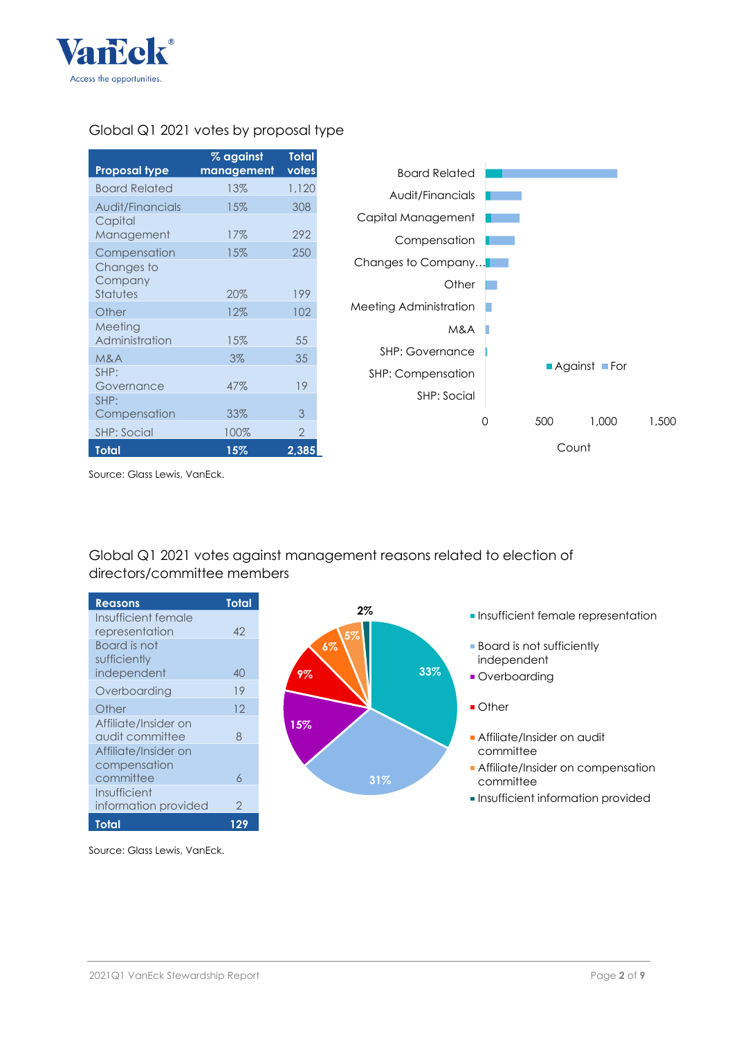

## Global Q1 2021 votes by proposal type

| Proposal type                     | % against<br>management | <b>Total</b><br>votes |
|-----------------------------------|-------------------------|-----------------------|
| Board Related                     | 13%                     | 1,120                 |
| Audit/Financials                  | 15%                     | 308                   |
| Capital<br>Management             | 17%                     | 292                   |
| Compensation                      | 15%                     | 250                   |
| Changes to<br>Company<br>Statutes | 20%                     | 199                   |
| Other                             | 12%                     | 102                   |
| Meeting<br>Administration         | 15%                     | 55                    |
| M&A                               | $3\%$                   | 35                    |
| SHP:<br>Governance                | 47%                     | 19                    |
| SHP:<br>Compensation              | 33%                     | 3                     |
| <b>SHP: Social</b>                | 100%                    | $\mathcal{P}$         |
| Total                             | 15%                     | 2,385                 |



Source: Glass Lewis, VanEck.

# Global Q1 2021 votes against management reasons related to election of directors/committee members

| <b>Reasons</b>       | Total         |
|----------------------|---------------|
| Insufficient female  |               |
| representation       | 42            |
| Board is not         |               |
| sufficiently         |               |
| independent          | 40            |
| Overboarding         | 19            |
| Other                | 12            |
| Affiliate/Insider on |               |
| audit committee      | 8             |
| Affiliate/Insider on |               |
| compensation         |               |
| committee            | 6             |
| Insufficient         |               |
| information provided | $\mathcal{P}$ |
| Total                | 129           |



- **2% I** Insufficient female representation
	- **Board is not sufficiently** independent
	- **Overboarding**
	- Other
	- Affiliate/Insider on audit committee
	- **Affiliate/Insider on compensation** committee
	- **Insufficient information provided**

Source: Glass Lewis, VanEck.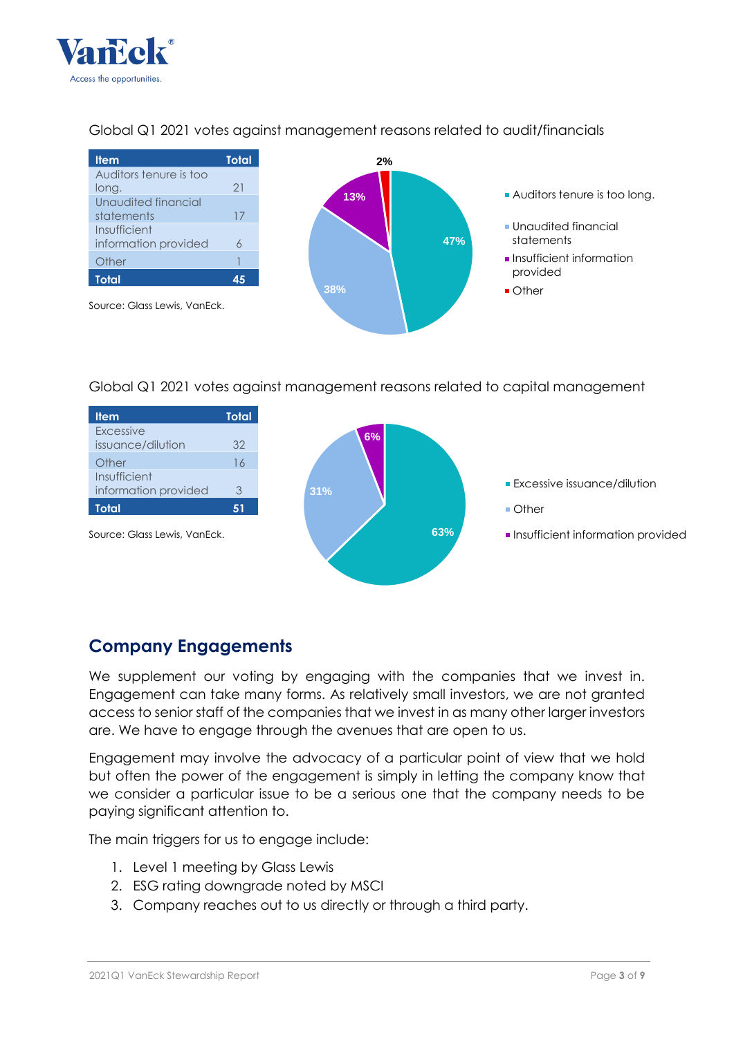



# Global Q1 2021 votes against management reasons related to audit/financials

# Global Q1 2021 votes against management reasons related to capital management



# **Company Engagements**

We supplement our voting by engaging with the companies that we invest in. Engagement can take many forms. As relatively small investors, we are not granted access to senior staff of the companies that we invest in as many other larger investors are. We have to engage through the avenues that are open to us.

Engagement may involve the advocacy of a particular point of view that we hold but often the power of the engagement is simply in letting the company know that we consider a particular issue to be a serious one that the company needs to be paying significant attention to.

The main triggers for us to engage include:

- 1. Level 1 meeting by Glass Lewis
- 2. ESG rating downgrade noted by MSCI
- 3. Company reaches out to us directly or through a third party.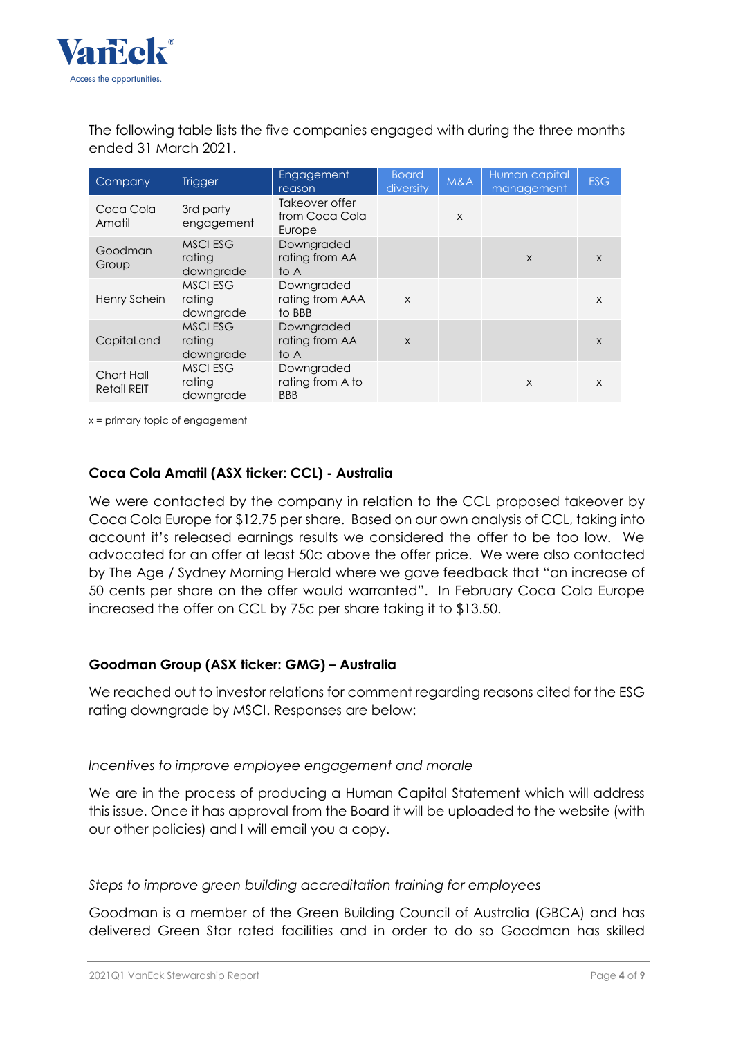

The following table lists the five companies engaged with during the three months ended 31 March 2021.

| Company                          | <b>Trigger</b>                         | Engagement<br>reason                         | <b>Board</b><br>diversity | M&A | Human capital<br>management | <b>ESG</b>   |
|----------------------------------|----------------------------------------|----------------------------------------------|---------------------------|-----|-----------------------------|--------------|
| Coca Cola<br>Amatil              | 3rd party<br>engagement                | Takeover offer<br>from Coca Cola<br>Europe   |                           | X   |                             |              |
| Goodman<br>Group                 | <b>MSCI ESG</b><br>rating<br>downgrade | Downgraded<br>rating from AA<br>to A         |                           |     | $\times$                    | $\mathsf{x}$ |
| Henry Schein                     | <b>MSCI ESG</b><br>ratina<br>downgrade | Downgraded<br>rating from AAA<br>to BBB      | $\mathsf{x}$              |     |                             | X            |
| CapitaLand                       | <b>MSCI ESG</b><br>rating<br>downgrade | Downgraded<br>rating from AA<br>to A         | $\mathsf{x}$              |     |                             | $\times$     |
| Chart Hall<br><b>Retail REIT</b> | <b>MSCI ESG</b><br>rating<br>downgrade | Downgraded<br>rating from A to<br><b>BBB</b> |                           |     | X                           | X            |

x = primary topic of engagement

#### **Coca Cola Amatil (ASX ticker: CCL) - Australia**

We were contacted by the company in relation to the CCL proposed takeover by Coca Cola Europe for \$12.75 per share. Based on our own analysis of CCL, taking into account it's released earnings results we considered the offer to be too low. We advocated for an offer at least 50c above the offer price. We were also contacted by The Age / Sydney Morning Herald where we gave feedback that "an increase of 50 cents per share on the offer would warranted". In February Coca Cola Europe increased the offer on CCL by 75c per share taking it to \$13.50.

#### **Goodman Group (ASX ticker: GMG) – Australia**

We reached out to investor relations for comment regarding reasons cited for the ESG rating downgrade by MSCI. Responses are below:

#### *Incentives to improve employee engagement and morale*

We are in the process of producing a Human Capital Statement which will address this issue. Once it has approval from the Board it will be uploaded to the website (with our other policies) and I will email you a copy.

*Steps to improve green building accreditation training for employees*

Goodman is a member of the Green Building Council of Australia (GBCA) and has delivered Green Star rated facilities and in order to do so Goodman has skilled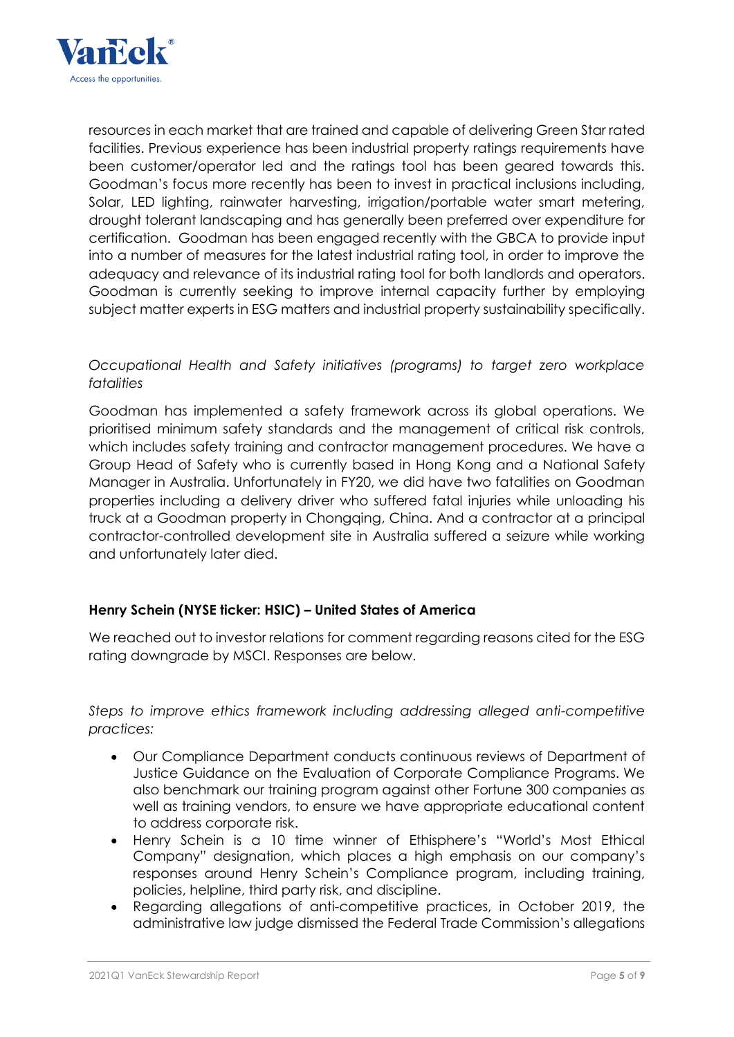

resources in each market that are trained and capable of delivering Green Star rated facilities. Previous experience has been industrial property ratings requirements have been customer/operator led and the ratings tool has been geared towards this. Goodman's focus more recently has been to invest in practical inclusions including, Solar, LED lighting, rainwater harvesting, irrigation/portable water smart metering, drought tolerant landscaping and has generally been preferred over expenditure for certification. Goodman has been engaged recently with the GBCA to provide input into a number of measures for the latest industrial rating tool, in order to improve the adequacy and relevance of its industrial rating tool for both landlords and operators. Goodman is currently seeking to improve internal capacity further by employing subject matter experts in ESG matters and industrial property sustainability specifically.

## *Occupational Health and Safety initiatives (programs) to target zero workplace fatalities*

Goodman has implemented a safety framework across its global operations. We prioritised minimum safety standards and the management of critical risk controls, which includes safety training and contractor management procedures. We have a Group Head of Safety who is currently based in Hong Kong and a National Safety Manager in Australia. Unfortunately in FY20, we did have two fatalities on Goodman properties including a delivery driver who suffered fatal injuries while unloading his truck at a Goodman property in Chongqing, China. And a contractor at a principal contractor-controlled development site in Australia suffered a seizure while working and unfortunately later died.

# **Henry Schein (NYSE ticker: HSIC) – United States of America**

We reached out to investor relations for comment regarding reasons cited for the ESG rating downgrade by MSCI. Responses are below.

*Steps to improve ethics framework including addressing alleged anti-competitive practices:*

- Our Compliance Department conducts continuous reviews of Department of Justice Guidance on the Evaluation of Corporate Compliance Programs. We also benchmark our training program against other Fortune 300 companies as well as training vendors, to ensure we have appropriate educational content to address corporate risk.
- Henry Schein is a 10 time winner of Ethisphere's "World's Most Ethical Company" designation, which places a high emphasis on our company's responses around Henry Schein's Compliance program, including training, policies, helpline, third party risk, and discipline.
- Regarding allegations of anti-competitive practices, in October 2019, the administrative law judge dismissed the Federal Trade Commission's allegations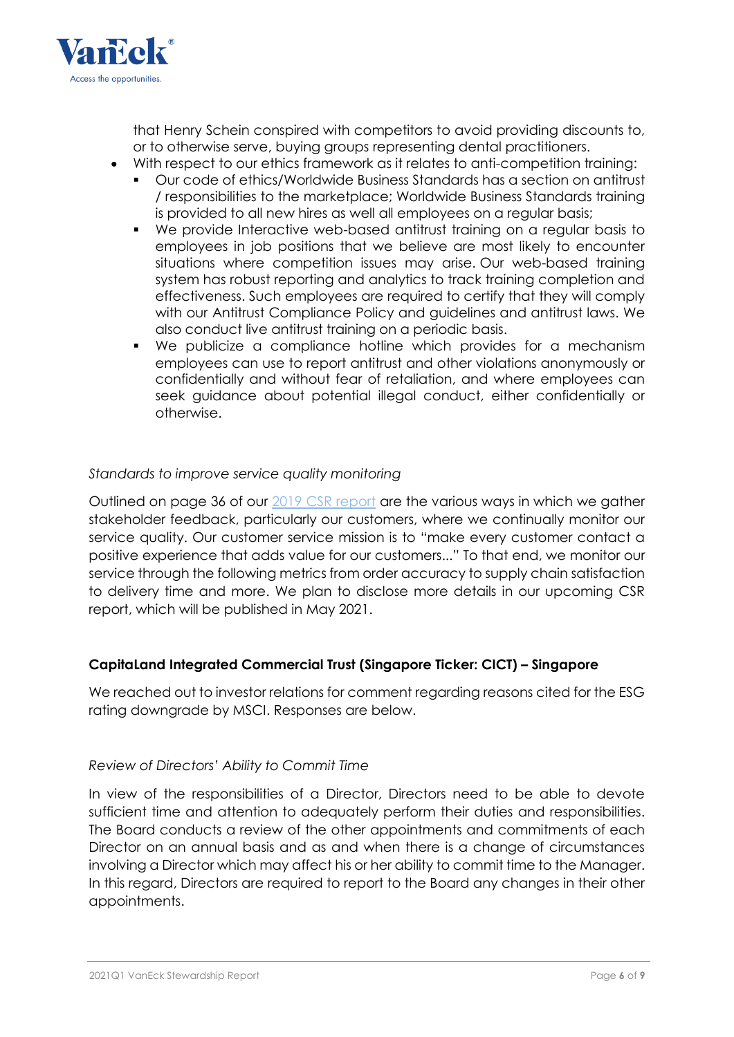

that Henry Schein conspired with competitors to avoid providing discounts to, or to otherwise serve, buying groups representing dental practitioners.

- With respect to our ethics framework as it relates to anti-competition training:
	- Our code of ethics/Worldwide Business Standards has a section on antitrust / responsibilities to the marketplace; Worldwide Business Standards training is provided to all new hires as well all employees on a regular basis;
	- We provide Interactive web-based antitrust training on a regular basis to employees in job positions that we believe are most likely to encounter situations where competition issues may arise. Our web-based training system has robust reporting and analytics to track training completion and effectiveness. Such employees are required to certify that they will comply with our Antitrust Compliance Policy and guidelines and antitrust laws. We also conduct live antitrust training on a periodic basis.
	- We publicize a compliance hotline which provides for a mechanism employees can use to report antitrust and other violations anonymously or confidentially and without fear of retaliation, and where employees can seek guidance about potential illegal conduct, either confidentially or otherwise.

#### *Standards to improve service quality monitoring*

Outlined on page 36 of our [2019 CSR report](https://www.henryschein.com/us-en/images/corporate/20KS6883_CSR_Report_2020_18WEB_R1.pdf) are the various ways in which we gather stakeholder feedback, particularly our customers, where we continually monitor our service quality. Our customer service mission is to "make every customer contact a positive experience that adds value for our customers..." To that end, we monitor our service through the following metrics from order accuracy to supply chain satisfaction to delivery time and more. We plan to disclose more details in our upcoming CSR report, which will be published in May 2021.

# **CapitaLand Integrated Commercial Trust (Singapore Ticker: CICT) – Singapore**

We reached out to investor relations for comment regarding reasons cited for the ESG rating downgrade by MSCI. Responses are below.

#### *Review of Directors' Ability to Commit Time*

In view of the responsibilities of a Director, Directors need to be able to devote sufficient time and attention to adequately perform their duties and responsibilities. The Board conducts a review of the other appointments and commitments of each Director on an annual basis and as and when there is a change of circumstances involving a Director which may affect his or her ability to commit time to the Manager. In this regard, Directors are required to report to the Board any changes in their other appointments.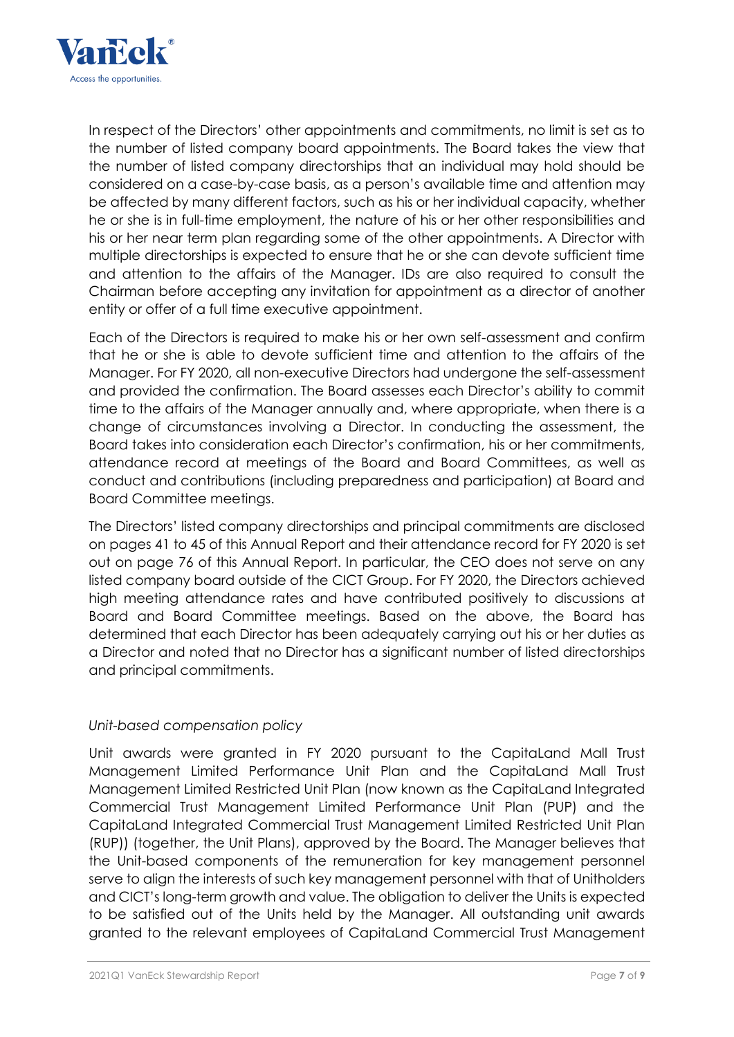

In respect of the Directors' other appointments and commitments, no limit is set as to the number of listed company board appointments. The Board takes the view that the number of listed company directorships that an individual may hold should be considered on a case-by-case basis, as a person's available time and attention may be affected by many different factors, such as his or her individual capacity, whether he or she is in full-time employment, the nature of his or her other responsibilities and his or her near term plan regarding some of the other appointments. A Director with multiple directorships is expected to ensure that he or she can devote sufficient time and attention to the affairs of the Manager. IDs are also required to consult the Chairman before accepting any invitation for appointment as a director of another entity or offer of a full time executive appointment.

Each of the Directors is required to make his or her own self-assessment and confirm that he or she is able to devote sufficient time and attention to the affairs of the Manager. For FY 2020, all non-executive Directors had undergone the self-assessment and provided the confirmation. The Board assesses each Director's ability to commit time to the affairs of the Manager annually and, where appropriate, when there is a change of circumstances involving a Director. In conducting the assessment, the Board takes into consideration each Director's confirmation, his or her commitments, attendance record at meetings of the Board and Board Committees, as well as conduct and contributions (including preparedness and participation) at Board and Board Committee meetings.

The Directors' listed company directorships and principal commitments are disclosed on pages 41 to 45 of this Annual Report and their attendance record for FY 2020 is set out on page 76 of this Annual Report. In particular, the CEO does not serve on any listed company board outside of the CICT Group. For FY 2020, the Directors achieved high meeting attendance rates and have contributed positively to discussions at Board and Board Committee meetings. Based on the above, the Board has determined that each Director has been adequately carrying out his or her duties as a Director and noted that no Director has a significant number of listed directorships and principal commitments.

# *Unit-based compensation policy*

Unit awards were granted in FY 2020 pursuant to the CapitaLand Mall Trust Management Limited Performance Unit Plan and the CapitaLand Mall Trust Management Limited Restricted Unit Plan (now known as the CapitaLand Integrated Commercial Trust Management Limited Performance Unit Plan (PUP) and the CapitaLand Integrated Commercial Trust Management Limited Restricted Unit Plan (RUP)) (together, the Unit Plans), approved by the Board. The Manager believes that the Unit-based components of the remuneration for key management personnel serve to align the interests of such key management personnel with that of Unitholders and CICT's long-term growth and value. The obligation to deliver the Units is expected to be satisfied out of the Units held by the Manager. All outstanding unit awards granted to the relevant employees of CapitaLand Commercial Trust Management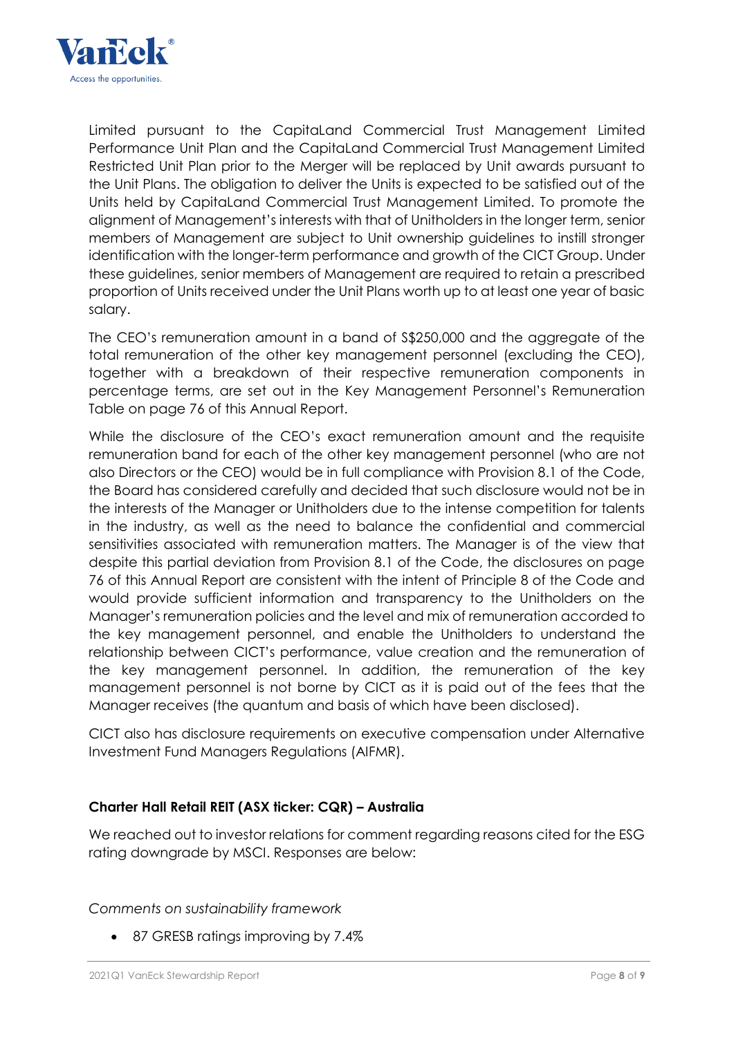

Limited pursuant to the CapitaLand Commercial Trust Management Limited Performance Unit Plan and the CapitaLand Commercial Trust Management Limited Restricted Unit Plan prior to the Merger will be replaced by Unit awards pursuant to the Unit Plans. The obligation to deliver the Units is expected to be satisfied out of the Units held by CapitaLand Commercial Trust Management Limited. To promote the alignment of Management's interests with that of Unitholders in the longer term, senior members of Management are subject to Unit ownership guidelines to instill stronger identification with the longer-term performance and growth of the CICT Group. Under these guidelines, senior members of Management are required to retain a prescribed proportion of Units received under the Unit Plans worth up to at least one year of basic salary.

The CEO's remuneration amount in a band of S\$250,000 and the aggregate of the total remuneration of the other key management personnel (excluding the CEO), together with a breakdown of their respective remuneration components in percentage terms, are set out in the Key Management Personnel's Remuneration Table on page 76 of this Annual Report.

While the disclosure of the CEO's exact remuneration amount and the requisite remuneration band for each of the other key management personnel (who are not also Directors or the CEO) would be in full compliance with Provision 8.1 of the Code, the Board has considered carefully and decided that such disclosure would not be in the interests of the Manager or Unitholders due to the intense competition for talents in the industry, as well as the need to balance the confidential and commercial sensitivities associated with remuneration matters. The Manager is of the view that despite this partial deviation from Provision 8.1 of the Code, the disclosures on page 76 of this Annual Report are consistent with the intent of Principle 8 of the Code and would provide sufficient information and transparency to the Unitholders on the Manager's remuneration policies and the level and mix of remuneration accorded to the key management personnel, and enable the Unitholders to understand the relationship between CICT's performance, value creation and the remuneration of the key management personnel. In addition, the remuneration of the key management personnel is not borne by CICT as it is paid out of the fees that the Manager receives (the quantum and basis of which have been disclosed).

CICT also has disclosure requirements on executive compensation under Alternative Investment Fund Managers Regulations (AIFMR).

# **Charter Hall Retail REIT (ASX ticker: CQR) – Australia**

We reached out to investor relations for comment regarding reasons cited for the ESG rating downgrade by MSCI. Responses are below:

*Comments on sustainability framework*

87 GRESB ratings improving by 7.4%